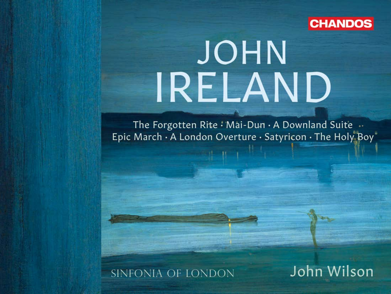

# JOHN IRELAND

The Forgotten Rite: Mai-Dun  $\cdot$  A Downland Suite  $\cdot$ Epic March · A London Overture · Satyricon · The Holy Boy"

# SINFONIA OF LONDON

John Wilson

**Arriva**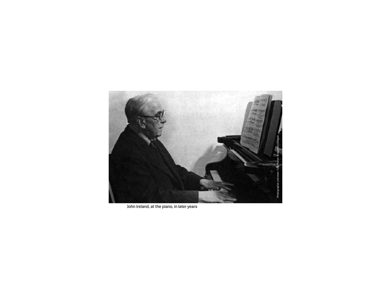

John Ireland, at the piano, in later years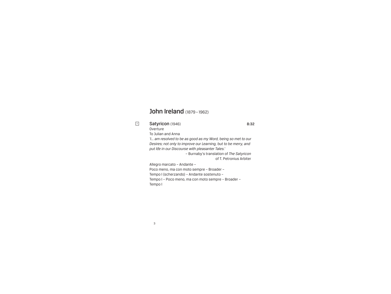# John Ireland (1879-1962)

#### 1 Satyricon (1946) 8:32 **Overture**

To Julian and Anna

 *'I... am resolved to be as good as my Word, being so met to our Desires; not only to improve our Learning, but to be merry, and put life in our Discourse with pleasanter Tales.'*

– Burnaby's translation of *The Satyricon* of T. Petronius Arbiter

Allegro marcato – Andante –

 Poco meno, ma con moto sempre – Broader – Tempo I (scherzando) – Andante sostenuto – Tempo I – Poco meno, ma con moto sempre – Broader – Tempo I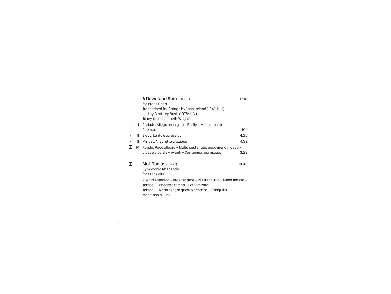|                   |              | A Downland Suite (1932)                                         | 17:01 |
|-------------------|--------------|-----------------------------------------------------------------|-------|
|                   |              | for Brass Band                                                  |       |
|                   |              | Transcribed for Strings by John Ireland (1941: II, III)         |       |
|                   |              | and by Geoffrey Bush (1978: I, IV)                              |       |
|                   |              | To my friend Kenneth Wright                                     |       |
| 同                 | $\mathbf{L}$ | Prelude. Allegro energico - Easily - Meno mosso -               |       |
|                   |              | A tempo                                                         | 4:14  |
| $\boxed{3}$       | Ш            | Elegy. Lento espressivo                                         | 4:35  |
| $\boxed{4}$       | Ш            | Minuet. Allegretto grazioso                                     | 4:32  |
| $\lceil 5 \rceil$ | IV           | Rondo. Poco allegro - Molto sostenuto, poco meno mosso -        |       |
|                   |              | Vivace gioviale - Avanti - Con anima, più mosso                 | 3:28  |
|                   |              |                                                                 |       |
| ब                 |              | <b>Mai-Dun</b> $(1920 - 21)$                                    | 10:46 |
|                   |              | Symphonic Rhapsody                                              |       |
|                   |              | for Orchestra                                                   |       |
|                   |              | Allegro energico - Broader time - Più tranguillo - Meno mosso - |       |
|                   |              | Tempo I - L'istesso tempo - Largamente -                        |       |
|                   |              | Tempo I - Meno allegro quasi Maestoso - Tranquillo -            |       |
|                   |              | Maestoso al Fine                                                |       |
|                   |              |                                                                 |       |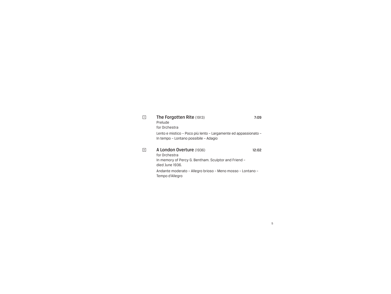#### 7 The Forgotten Rite (1913) 7:09 Prelude

 Lento e mistico – Poco più lento – Largamente ed appassionato – In tempo – Lontano possibile – Adagio

#### 8 **A London Overture** (1936) 12:02

for Orchestra

5

 for Orchestra In memory of Percy G. Bentham. Sculptor and Friend – died June 1936.

 Andante moderato – Allegro brioso – Meno mosso – Lontano – Tempo d'Allegro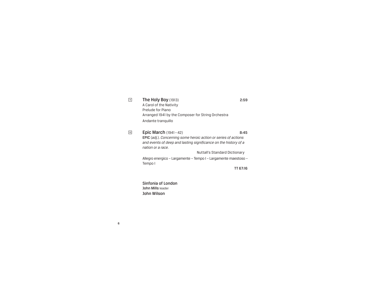| 9 | <b>The Holy Boy (1913)</b>                         | 2:59 |
|---|----------------------------------------------------|------|
|   | A Carol of the Nativity                            |      |
|   | Prelude for Piano                                  |      |
|   | Arranged 1941 by the Composer for String Orchestra |      |
|   | Andante tranquillo                                 |      |

10 **Epic March** (1941 – 42) 8:45 EPIC (*adj.*). *Concerning some heroic action or series of actions and events of deep and lasting significance on the history of a nation or a race.* Nuttall's Standard Dictionary Allegro energico – Largamente – Tempo I – Largamente maestoso – Tempo I

TT 67:16

 Sinfonia of London John Mills leader John Wilson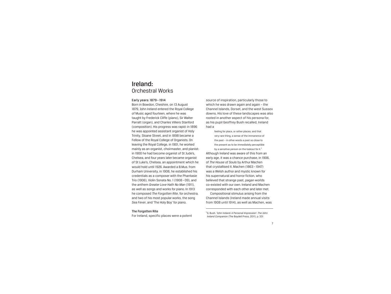# Ireland: Orchestral Works

#### Early years: 1879– 1914

Born in Bowdon, Cheshire, on 13 August 1879, John Ireland entered the Royal College of Music aged fourteen, where he was taught by Frederick Cliffe (piano), Sir Walter Parratt (organ), and Charles Villiers Stanford (composition). His progress was rapid: in 1896 he was appointed assistant organist of Holy Trinity, Sloane Street, and in 1898 became a Fellow of the Royal College of Organists. On leaving the Royal College, in 1901, he worked mainly as an organist, choirmaster, and pianist: in 1900 he had become organist of St Jude's, Chelsea, and four years later became organist of St Luke's, Chelsea, an appointment which he would hold until 1926. Awarded a B.Mus. from Durham University, in 1908, he established his credentials as a composer with the Phantasie Trio (1906), Violin Sonata No. 1 (1908–09), and the anthem *Greater Love Hath No Man* (1911), as well as songs and works for piano. In 1913 he composed *The Forgotten Rite*, for orchestra, and two of his most popular works, the song *Sea Fever*, and 'The Holy Boy' for piano.

The Forgotten Rite

For Ireland, specific places were a potent

source of inspiration, particularly those to which he was drawn again and again – the Channel Islands, Dorset, and the west Sussex downs. His love of these landscapes was also rooted in another aspect of his persona for, as his pupil Geoffrey Bush recalled, Ireland had a

feeling for place, or rather places; and that very rare thing, a sense of the immanence of the past – in other words a past so close to the present as to be immediately perceptible by a sensitive person on the lookout for it.<sup>1</sup> Although Ireland was aware of this from an early age, it was a chance purchase, in 1906, of *The House of Souls* by Arthur Machen that crystallised it. Machen (1863– 1947) was a Welsh author and mystic known for his supernatural and horror fiction, who believed that strange past, pagan worlds co-existed with our own. Ireland and Machen corresponded with each other and later met.

Compositional stimulus arising from the Channel Islands (Ireland made annual visits from 1908 until 1914), as well as Machen, was

1 G. Bush. 'John Ireland: A Personal Impression'. *The John Ireland Companion* (The Boydell Press, 2011), p. 331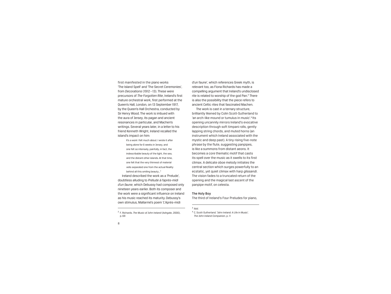first manifested in the piano works 'The Island Spell' and 'The Secret Ceremonies', from *Decorations* (1912–13). These were precursors of *The Forgotten Rite*, Ireland's first mature orchestral work, first performed at the Queen's Hall, London, on 13 September 1917, by the Queen's Hall Orchestra, conducted by Sir Henry Wood. The work is imbued with the aura of Jersey, its pagan and ancient resonances in particular, and Machen's writings. Several years later, in a letter to his friend Kenneth Wright, Ireland recalled the island's impact on him:

> It's a work I felt much about. I wrote it after being alone for 6 weeks in Jersey, and one felt so intensely, painfully, in fact, the indescribable beauty of the light, the sea, and the distant other islands. At that time, one felt that the very thinnest of material veils separated one from the actual Reality behind all this smiling beauty...<sup>2</sup>

Ireland described the work as a 'Prelude', doubtless alluding to *Prélude à l'après-midi d'un faune*, which Debussy had composed only nineteen years earlier. Both its composer and the work were a significant influence on Ireland as his music reached its maturity. Debussy's own stimulus, Mallarmé's poem 'L'Après-midi

d'un faune', which references Greek myth, is relevant too, as Fiona Richards has made a compelling argument that Ireland's undisclosed rite is related to worship of the god Pan.<sup>3</sup> There is also the possibility that the piece refers to ancient Celtic rites that fascinated Machen.

The work is cast in a ternary structure, brilliantly likened by Colin Scott-Sutherland to 'an arch-like mound or tumulus in music'.<sup>4</sup> Its opening uncannily mirrors Ireland's evocative description through soft timpani rolls, gently lapping string chords, and muted horns (an instrument which Ireland associated with the mystic and deep past). A tiny rising five-note phrase by the flute, suggesting panpipes, is like a summons from distant aeons. It becomes a core thematic motif that casts its spell over the music as it swells to its first climax. A delicate oboe melody initiates the central section which surges powerfully to an ecstatic, yet quiet climax with harp *glissandi*. The vision fades to a truncated return of the opening and the magical last ascent of the panpipe motif, on celesta.

#### The Holy Boy

The third of Ireland's Four Preludes for piano,

<sup>2</sup> F. Richards. *The Music of John Ireland* (Ashgate, 2000), <sup>4</sup> C. Scott-Sutherland. 'John Ireland: A Life in Music'. *The John Ireland Companion*, p. 11

p. 69

<sup>3</sup> *Ibid*.

<sup>8</sup>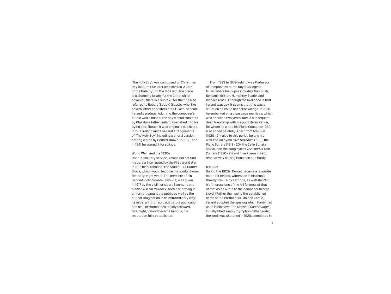'The Holy Boy', was composed on Christmas Day 1913, its title later amplified as 'A Carol of the Nativity'. On the face of it, the piece is a charming lullaby for the Christ child; however, there is a subtext, for the title also referred to Robert (Bobby) Glassby who, like several other choristers at St Luke's, became Ireland's protégé. Adorning the composer's studio was a bust of the boy's head, sculpted by Glassby's father; Ireland cherished it to his dying day. Though it was originally published in 1917, Ireland made several arrangements of 'The Holy Boy', including a choral version, setting words by Herbert Brown, in 1938, and in 1941 he scored it for strings.

#### World War I and the 1920s

Unfit for military service, Ireland did not find his career interrupted by the First World War. In 1915 he purchased 'The Studio', 14A Gunter Grove, which would become his London home for thirty-eight years. The première of his Second Violin Sonata (1915– 17) was given in 1917 by the violinist Albert Sammons and pianist William Murdock, both performing in uniform. It caught the public as well as the critical imagination in an extraordinary way: its initial print run sold out before publication and nine performances rapidly followed. Overnight, Ireland became famous, his reputation fully established.

From 1923 to 1939 Ireland was Professor of Composition at the Royal College of Music where his pupils included Alan Bush, Benjamin Britten, Humphrey Searle, and Richard Arnell. Although the likelihood is that Ireland was gay, it seems that this was a situation he could not acknowledge. In 1926 he embarked on a disastrous marriage, which was annulled two years later. A subsequent deep friendship with his pupil Helen Perkin, for whom he wrote his Piano Concerto (1930), also ended painfully. Apart from *Mai-Dun* (1920–21), also to this period belong his well-known hymn *Love Unknown* (1919), the Piano Sonata (1918–20), the Cello Sonata (1923), and the song cycles *The Land of Lost Content* (1920–21) and Five Poems (1926), respectively setting Housman and Hardy.

#### Mai-Dun

During the 1920s, Dorset became a favourite haunt for Ireland, witnessed in his music through his Hardy settings, as well *Mai-Dun*, his 'impressions of the hill fortress of that name', as he wrote to the composer George Lloyd. (Rather than using the established name of the earthworks, Maiden Castle, Ireland adopted the spelling which Hardy had used in his novel *The Mayor of Casterbridge*.) Initially titled simply 'Symphonic Rhapsody', the work was sketched in 1920, completed in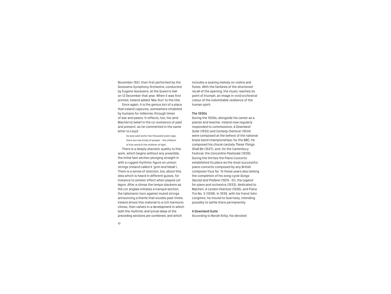November 1921, then first performed by the Goossens Symphony Orchestra, conducted by Eugene Goossens, at the Queen's Hall on 12 December that year. When it was first printed, Ireland added 'Mai-Dun' to the title.

Once again, it is the *genius loci* of a place that Ireland captures, somewhere inhabited by humans for millennia, through times of war and peace. It reflects, too, his (and Machen's) belief in the co-existence of past and present, as he commented in the same letter to Lloyd:

> As was said some two thousand years ago, there are two kinds of people – the children of this world & the children of light.

There is a deeply atavistic quality to this work, which begins without any preamble, the initial fast section plunging straight in with a rugged rhythmic figure on unison strings (Ireland called it 'grim and bleak'). There is a sense of stoicism, too, about this idea which is heard in different guises, for instance to sinister effect when played *col legno*. After a climax the tempo slackens as the cor anglais initiates a tranquil section, the talismanic horn against muted strings announcing a theme that exudes past times. Ireland drives this material to a rich harmonic climax, then ushers in a development in which both the rhythmic and lyrical ideas of the preceding sections are combined, and which

includes a soaring melody on violins and flutes. With the fanfares of the shortened recall of the opening, the music reaches its point of triumph, an image in vivid orchestral colour of the indomitable resilience of the human spirit.

#### The 1930s

During the 1930s, alongside his career as a pianist and teacher, Ireland now regularly responded to commissions: *A Downland Suite* (1932) and *Comedy Overture* (1934) were composed at the behest of the national brass band championships; for the BBC, he composed his choral cantata *These Things Shall Be* (1937), and, for the Canterbury Festival, the *Concertino Pastorale* (1939). During the thirties the Piano Concerto established its place as the most successful piano concerto composed by any British composer thus far. To these years also belong the completion of his song cycle *Songs Sacred and Profane* (1929–31), the *Legend* for piano and orchestra (1933), dedicated to Machen, *A London Overture* (1936), and Piano Trio No. 3 (1938). In 1939, with his friend John Longmire, he moved to Guernsey, intending possibly to settle there permanently.

#### A Downland Suite

According to Norah Kirby, his devoted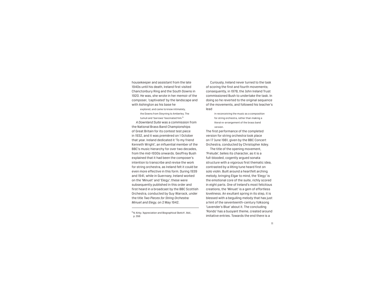housekeeper and assistant from the late 1940s until his death, Ireland first visited Chanctonbury Ring and the South Downs in 1920. He was, she wrote in her memoir of the composer, 'captivated' by the landscape and with Ashington as his base he

> explored, and came to know intimately, the Downs from Steyning to Amberley. The tumuli and 'barrows' fascinated him.<sup>5</sup>

*A Downland Suite* was a commission from the National Brass Band Championships of Great Britain for its contest test piece in 1932, and it was premièred on 1 October that year. Ireland dedicated it 'To my friend Kenneth Wright', an influential member of the BBC's music hierarchy for over two decades, from the mid-1930s onwards. Geoffrey Bush explained that it had been the composer's intention to transcribe and revise the work for string orchestra, as Ireland felt it could be even more effective in this form. During 1939 and 1941, while in Guernsey, Ireland worked on the 'Minuet' and 'Elegy'; these were subsequently published in this order and first heard in a broadcast by the BBC Scottish Orchestra, conducted by Guy Warrack, under the title *Two Pieces for String Orchestra: Minuet and Elegy*, on 2 May 1942.

5N. Kirby. 'Appreciation and Biographical Sketch'. *Ibid*., p. 356

Curiously, Ireland never turned to the task of scoring the first and fourth movements; consequently, in 1978, the John Ireland Trust commissioned Bush to undertake the task. In doing so he reverted to the original sequence of the movements, and followed his teacher's lead

> in reconceiving the music as a composition for string orchestra, rather than making a literal re-arrangement of the brass band version.

The first performance of the completed version for string orchestra took place on 17 June 1981, given by the BBC Concert Orchestra, conducted by Christopher Adey. The title of the opening movement,

'Prelude', belies its character, as it is a full-blooded, cogently argued sonata structure with a vigorous first thematic idea, contrasted by a lilting tune heard first on solo violin. Built around a heartfelt arching melody, bringing Elgar to mind, the 'Elegy' is the emotional core of the suite, richly scored in eight parts. One of Ireland's most felicitous creations, the 'Minuet' is a gem of effortless loveliness. An exultant spring in its step, it is blessed with a beguiling melody that has just a hint of the seventeenth-century folksong 'Lavender's Blue' about it. The concluding 'Rondo' has a buoyant theme, created around imitative entries. Towards the end there is a

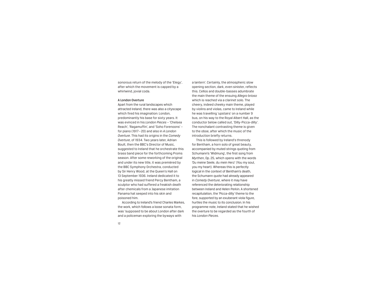sonorous return of the melody of the 'Elegy', after which the movement is capped by a whirlwind, jovial coda.

#### A London Overture

Apart from the rural landscapes which attracted Ireland, there was also a cityscape which fired his imagination: London, predominantly his base for sixty years. It was evinced in his *London Pieces* – 'Chelsea Reach', 'Ragamuffin', and 'Soho Forenoons' – for piano (1917 –20) and also in *A London Overture*. This had its origins in the *Comedy Overture*, of 1934. Two years later, Adrian Boult, then the BBC's Director of Music, suggested to Ireland that he orchestrate this brass band piece for the forthcoming Proms season. After some reworking of the original and under its new title, it was premièred by the BBC Symphony Orchestra, conducted by Sir Henry Wood, at the Queen's Hall on 13 September 1936. Ireland dedicated it to his greatly missed friend Percy Bentham, a sculptor who had suffered a freakish death after chemicals from a Japanese imitation Panama hat seeped into his skin and poisoned him.

According to Ireland's friend Charles Markes, the work, which follows a loose sonata form, was 'supposed to be about London after dark and a policeman exploring the byways with

a lantern'. Certainly, the atmospheric slow opening section, dark, even sinister, reflects this. Cellos and double-basses adumbrate the main theme of the ensuing *Allegro brioso* which is reached via a clarinet solo. The cheery, indeed cheeky main theme, played by violins and violas, came to Ireland while he was travelling 'upstairs' on a number 9 bus, on his way to the Royal Albert Hall, as the conductor below called out, 'Dilly-Picca-dilly'. The nonchalant contrasting theme is given to the oboe, after which the music of the introduction briefly returns.

This is followed by Ireland's threnody for Bentham, a horn solo of great beauty, accompanied by muted strings quoting from Schumann's 'Widmung', the first song from *Myrthen*, Op. 25, which opens with the words 'Du meine Seele, du mein Herz' (You my soul, you my heart). Whereas this is perfectly logical in the context of Bentham's death, the Schumann quote had already appeared in *Comedy Overture*, where it may have referenced the deteriorating relationship between Ireland and Helen Perkin. A shortened recapitulation, the 'Picca-dilly' theme to the fore, supported by an exuberant viola figure, hurtles the music to its conclusion. In his programme note, Ireland stated that he wished the overture to be regarded as the fourth of his *London Pieces*.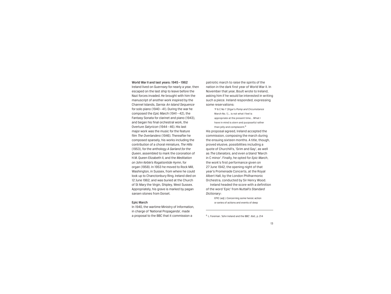#### World War II and last years: 1945– 1962

Ireland lived on Guernsey for nearly a year, then escaped on the last ship to leave before the Nazi forces invaded. He brought with him the manuscript of another work inspired by the Channel Islands, *Sarnia: An Island Sequence* for solo piano (1940–41). During the war he composed the *Epic March* (1941 –42), the Fantasy Sonata for clarinet and piano (1943), and began his final orchestral work, the Overture *Satyricon* (1944–46). His last major work was the music for the feature film *The Overlanders* (1946). Thereafter he composed sparsely, his works including the contribution of a choral miniature, *The Hills* (1953), for the anthology *A Garland for the Queen*, assembled to mark the coronation of H.M. Queen Elizabeth II, and the *Meditation on John Keble's Rogationtide Hymn*, for organ (1958). In 1953 he moved to Rock Mill, Washington, in Sussex, from where he could look up to Chanctonbury Ring. Ireland died on 12 June 1962, and was buried at the Church of St Mary the Virgin, Shipley, West Sussex. Appropriately, his grave is marked by pagan sarsen stones from Dorset.

#### Epic March

In 1940, the wartime Ministry of Information, in charge of 'National Propaganda', made a proposal to the BBC that it commission a <sup>6</sup>L. Foreman. 'John Ireland and the BBC'. *Ibid.*, p. 214

patriotic march to raise the spirits of the nation in the dark first year of World War II. In November that year, Boult wrote to Ireland, asking him if he would be interested in writing such a piece. Ireland responded, expressing some reservations:

> 'P & C No 1' [Elgar's *Pomp and Circumstance* March No. 1]... is not what I feel is appropriate at the present time... What I have in mind is stern and purposeful rather than jolly and complacent.<sup>6</sup>

His proposal agreed, Ireland accepted the commission, composing the march during the ensuing sixteen months. A title, though, proved elusive, possibilities including a quote of Churchill's, 'Grim and Gay', as well as *The Liberators*, and even a bland 'March in C minor'. Finally, he opted for *Epic March*, the work's first performance given on 27 June 1942, the opening night of that year's Promenade Concerts, at the Royal Albert Hall, by the London Philharmonic Orchestra, conducted by Sir Henry Wood.

Ireland headed the score with a definition of the word 'Epic' from *Nuttall's Standard Dictionary*:

> EPIC (*adj.*). Concerning some heroic action or series of actions and events of deep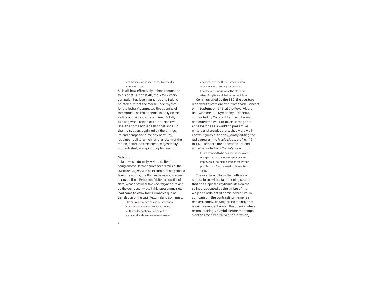and lasting significance on the history of a nation or a race.

All in all, how effectively Ireland responded to his brief. During 1940, the V for Victory campaign had been launched and Ireland pointed out that the Morse Code rhythm for the letter V permeates the opening of the march. The main theme, initially on the violins and violas, is determined, totally fulfilling what Ireland set out to achieve; later the horns add a dash of defiance. For the trio section, again led by the strings, Ireland composed a melody of sturdy, resolute nobility, which, after a return of the march, concludes the piece, majestically orchestrated, in a spirit of optimism.

#### Satyricon

Ireland was extremely well read, literature being another fertile source for his music. The Overture *Satyricon* is an example, arising from a favourite author, the Roman Gaius (or, in some sources, Titus) Petronius Arbiter, a courtier of Nero, whose satirical tale *The Satyricon* Ireland, so the composer wrote in his programme note, 'had come to know from Burnaby's quaint translation of the Latin text'. Ireland continued, The music describes no particular scenes

or episodes, but was prompted by the author's description of some of the vagabond and carefree adventures and

escapades of the three Roman youths around which the story revolves – Encolpius, the narrator of the story, his friend Ascyltus and their attendant, Gito. Commissioned by the BBC, the overture received its première at a Promenade Concert on 11 September 1946, at the Royal Albert Hall, with the BBC Symphony Orchestra, conducted by Constant Lambert. Ireland dedicated the work to Julian Herbage and Anna Instone as a wedding present. As writers and broadcasters, they were wellknown figures of the day, jointly editing the radio programme *Music Magazine* from 1944 to 1973. Beneath the dedication, Ireland added a quote from *The Satyricon*:

I... am resolved to be as good as my Word, being so met to our Desires; not only to improve our Learning, but to be merry, and put life in our Discourse with pleasanter Tales.

The overture follows the outlines of sonata form, with a fast opening section that has a spirited rhythmic idea on the strings, accented by the timbre of the whip and redolent of comic adventure. In comparison, the contrasting theme is a relaxed, sunny, flowing string melody that is quintessential Ireland. The opening ideas return, teasingly playful, before the tempo slackens for a central section in which,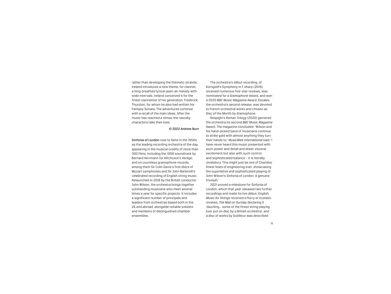rather than developing the thematic strands, Ireland introduces a new theme, for clarinet, a long-breathed lyrical open-air melody with wide intervals. Ireland conceived it for the finest clarinettist of his generation, Frederick Thurston, for whom he also had written his Fantasy Sonata. The adventures continue with a recall of the main ideas. After the music has reached a climax the rascally characters take their bow.

#### © 2022 Andrew Burn

Sinfonia of London rose to fame in the 1950s as the leading recording orchestra of the day, appearing in the musical credits of more than 300 films, including the 1958 soundtrack by Bernard Herrmann for Hitchcock's *Vertigo*, and on countless gramophone records, among them Sir Colin Davis's first discs of Mozart symphonies and Sir John Barbirolli's celebrated recording of English string music. Relaunched in 2018 by the British conductor John Wilson, the orchestra brings together outstanding musicians who meet several times a year for specific projects. It includes a significant number of principals and leaders from orchestras based both in the UK and abroad, alongside notable soloists and members of distinguished chamber ensembles.

The orchestra's début recording, of Korngold's Symphony in F sharp (2019), received numerous five-star reviews, was nominated for a *Gramophone* Award, and won a 2020 *BBC Music Magazine* Award. *Escales*, the orchestra's second release, was devoted to French orchestral works and chosen as Disc of the Month by *Gramophone*.

Respighi's Roman Trilogy (2020) garnered the orchestra its second *BBC Music Magazine*  Award. The magazine concluded: 'Wilson and his hand-picked band of musicians continue to strike gold with almost anything they turn their hands to.' *MusicWeb International* said: 'I have never heard this music presented with such power and detail and sheer visceral excitement but also with such control and sophisticated balance – it is literally revelatory. This might just be one of Chandos' finest feats of engineering ever, showcasing the superlative and sophisticated playing of John Wilson's Sinfonia of London. A genuine triumph.'

2021 proved a milestone for Sinfonia of London, which that year released two further recordings and made its live début. *English Music for Strings* received a flurry of ecstatic reviews, *The Mail on Sunday* declaring it 'dazzling... some of the finest string playing ever put on disc by a British orchestra', and a disc of works by Dutilleux was described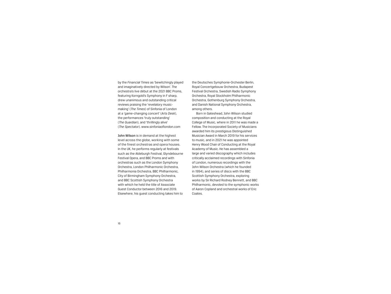by the *Financial Times* as 'bewitchingly played and imaginatively directed by Wilson'. The orchestra's live début at the 2021 BBC Proms, featuring Korngold's Symphony in F sharp, drew unanimous and outstanding critical reviews praising the 'revelatory musicmaking' (*The Times*) of Sinfonia of London at a 'game-changing concert' (*Arts Desk*), the performances 'truly outstanding' (*The Guardian*), and 'thrillingly alive' (*The Spectator*). www.sinfoniaoflondon.com

John Wilson is in demand at the highest level across the globe, working with some of the finest orchestras and opera houses. In the UK, he performs regularly at festivals such as the Aldeburgh Festival, Glyndebourne Festival Opera, and BBC Proms and with orchestras such as the London Symphony Orchestra, London Philharmonic Orchestra, Philharmonia Orchestra, BBC Philharmonic, City of Birmingham Symphony Orchestra, and BBC Scottish Symphony Orchestra with which he held the title of Associate Guest Conductor between 2016 and 2019. Elsewhere, his guest conducting takes him to the Deutsches Symphonie-Orchester Berlin, Royal Concertgebouw Orchestra, Budapest Festival Orchestra, Swedish Radio Symphony Orchestra, Royal Stockholm Philharmonic Orchestra, Gothenburg Symphony Orchestra, and Danish National Symphony Orchestra, among others.

Born in Gateshead, John Wilson studied composition and conducting at the Royal College of Music, where in 2011 he was made a Fellow. The Incorporated Society of Musicians awarded him its prestigious Distinguished Musician Award in March 2019 for his services to music, and in 2021 he was appointed Henry Wood Chair of Conducting at the Royal Academy of Music. He has assembled a large and varied discography which includes critically acclaimed recordings with Sinfonia of London, numerous recordings with the John Wilson Orchestra (which he founded in 1994), and series of discs with the BBC Scottish Symphony Orchestra, exploring works by Sir Richard Rodney Bennett, and BBC Philharmonic, devoted to the symphonic works of Aaron Copland and orchestral works of Eric Coates.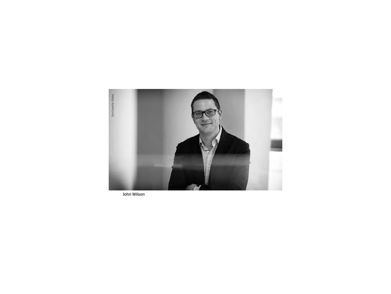

John Wilson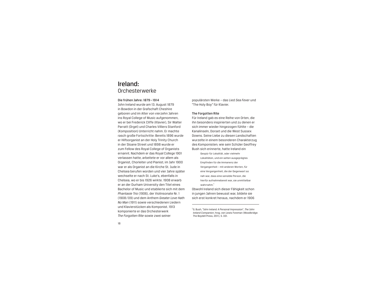# Ireland: Orchesterwerke

#### Die frühen Jahre: 1879– 1914

John Ireland wurde am 13. August 1879 in Bowdon in der Grafschaft Cheshire geboren und im Alter von vierzehn Jahren ins Royal College of Music aufgenommen, wo er bei Frederick Cliffe (Klavier), Sir Walter Parratt (Orgel) und Charles Villiers Stanford (Komposition) Unterricht nahm. Er machte rasch große Fortschritte: Bereits 1896 wurde er Hilfsorganist an der Holy Trinity Church in der Sloane Street und 1898 wurde er zum Fellow des Royal College of Organists ernannt. Nachdem er das Royal College 1901 verlassen hatte, arbeitete er vor allem als Organist, Chorleiter und Pianist; im Jahr 1900 war er als Organist an die Kirche St. Jude in Chelsea berufen worden und vier Jahre später wechselte er nach St. Luke's, ebenfalls in Chelsea, wo er bis 1926 wirkte. 1908 erwarb er an der Durham University den Titel eines Bachelor of Music und etablierte sich mit dem *Phantasie Trio* (1906), der Violinsonate Nr. 1 (1908/09) und dem Anthem *Greater Love Hath No Man* (1911) sowie verschiedenen Liedern und Klavierstücken als Komponist. 1913 komponierte er das Orchesterwerk *The Forgotten Rite* sowie zwei seiner

populärsten Werke – das Lied *Sea Fever* und "The Holy Boy" für Klavier.

#### The Forgotten Rite

Für Ireland gab es eine Reihe von Orten, die ihn besonders inspirierten und zu denen er sich immer wieder hingezogen fühlte – die Kanalinseln, Dorset und die West Sussex Downs. Seine Liebe zu diesen Landschaften wurzelte in einem besonderen Charakterzug des Komponisten; wie sein Schüler Geoffrey Bush sich erinnerte, hatte Ireland ein

Gespür für Lokalität, oder vielmehr Lokalitäten, und ein selten ausgeprägtes Empfinden für die Immanenz der Vergangenheit – mit anderen Worten, für eine Vergangenheit, die der Gegenwart so nah war, dass eine sensible Person, die hierfür aufnahmebereit war, sie unmittelbar wahrnahm.<sup>1</sup>

Obwohl Ireland sich dieser Fähigkeit schon in jungen Jahren bewusst war, bildete sie sich erst konkret heraus, nachdem er 1906

1 G. Bush, "John Ireland: A Personal Impression", *The John Ireland Companion*, hrsg. von Lewis Foreman (Woodbridge: The Boydell Press, 2011), S. 331.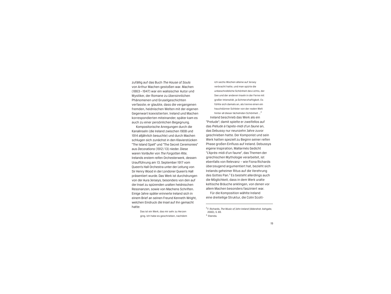zufällig auf das Buch *The House of Souls* von Arthur Machen gestoßen war. Machen (1863– 1947) war ein walisischer Autor und Mystiker, der Romane zu übersinnlichen Phänomenen und Gruselgeschichten verfasste; er glaubte, dass die vergangenen fremden, heidnischen Welten mit der eigenen Gegenwart koexistierten. Ireland und Machen korrespondierten miteinander; später kam es auch zu einer persönlichen Begegnung.

Kompositorische Anregungen durch die Kanalinseln (die Ireland zwischen 1908 und 1914 alljährlich besuchte) und durch Machen schlugen sich zunächst in den Klavierstücken "The Island Spell" und "The Secret Ceremonies" aus *Decorations* (1912/13) nieder. Diese waren Vorläufer von *The Forgotten Rite*, Irelands erstem reifen Orchesterwerk, dessen Uraufführung am 13. September 1917 vom Queen's Hall Orchestra unter der Leitung von Sir Henry Wood in der Londoner Queen's Hall präsentiert wurde. Das Werk ist durchdrungen von der Aura Jerseys, besonders von den auf der Insel zu spürenden uralten heidnischen Resonanzen, sowie von Machens Schriften. Einige Jahre später erinnerte Ireland sich in einem Brief an seinen Freund Kenneth Wright, welchen Eindruck die Insel auf ihn gemacht hatte:

> Das ist ein Werk, das mir sehr zu Herzen ging. Ich habe es geschrieben, nachdem

unbeschreibliche Schönheit des Lichts, der See und der anderen Inseln in der Ferne mit großer Intensität, ja Schmerzhaftigkeit. Es fühlte sich damals an, als trenne einen ein hauchdünner Schleier von der realen Welt hinter all dieser lächelnden Schönheit ...<sup>2</sup> Ireland beschrieb das Werk als ein "Prelude"; damit spielte er zweifellos auf das *Prélude à l'après-midi d'un faune* an, das Debussy nur neunzehn Jahre zuvor geschrieben hatte. Der Komponist und sein Werk hatten speziell zu Beginn seiner reifen Phase großen Einfluss auf Ireland. Debussys eigene Inspiration, Mallarmés Gedicht "L'Après-midi d'un faune", das Themen der griechischen Mythologie verarbeitet, ist ebenfalls von Relevanz – wie Fiona Richards überzeugend argumentiert hat, bezieht sich Irelands geheimer Ritus auf die Verehrung des Gottes Pan.<sup>3</sup> Es besteht allerdings auch die Möglichkeit, dass in dem Werk uralte keltische Bräuche anklingen, von denen vor allem Machen besonders fasziniert war.

ich sechs Wochen alleine auf Jersey verbracht hatte, und man spürte die

Für die Komposition wählte Ireland eine dreiteilige Struktur, die Colin Scott-

<sup>2</sup> F. Richards, *The Music of John Ireland* (Aldershot: Ashgate, 2000), S. 69. 3 Ebenda.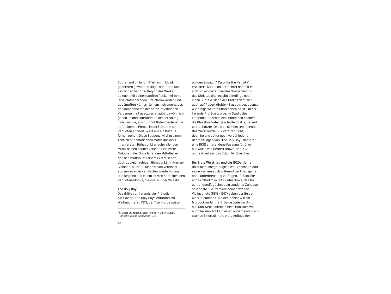Sutherland brillant mit "einem in Musik gesetzten gewölbten Hügel oder Tumulus" verglichen hat.4 Der Beginn des Werks spiegelt mit seinen sanften Paukenwirbeln, leise plätschernden Streicherakkorden und gedämpften Hörnern (einem Instrument, das der Komponist mit der tiefen, mystischen Vergangenheit assoziierte) außergewöhnlich genau Irelands anrührende Beschreibung. Eine winzige, aus nur fünf Noten bestehende aufsteigende Phrase in der Flöte, die an Panflöten erinnert, wirkt wie ein Ruf aus fernen Äonen. Diese Sequenz wird zu einem zentralen thematischen Motiv, das der zu ihrem ersten Höhepunkt anschwellenden Musik seinen Zauber verleiht. Eine zarte Melodie in der Oboe leitet den Mittelteil ein, der sich kraftvoll zu einem ekstatischen, doch zugleich ruhigen Höhepunkt mit Harfen-Glissandi aufbaut. Diese Vision verblasst sodann zu einer verkürzten Wiederholung des Beginns und einem letzten Ansteigen des Panflöten-Motivs, diesmal auf der Celesta.

#### The Holy Boy

Das dritte von Irelands vier Präludien für Klavier, "The Holy Boy", entstand am Weihnachtstag 1913; der Titel wurde später um den Zusatz "A Carol for the Nativity" erweitert. Äußerlich betrachtet handelt es sich um ein bezauberndes Wiegenlied für das Christuskind; es gibt allerdings noch einen Subtext, denn der Titel bezieht sich auch auf Robert (Bobby) Glassby, der, ebenso wie einige weitere Chorknaben an St. Luke's, Irelands Protégé wurde. Im Studio des Komponisten stand eine Büste des Knaben, die Glassbys Vater geschaffen hatte; Ireland wertschätzte sie bis zu seinem Lebensende. Das Werk wurde 1917 veröffentlicht, doch Ireland schuf noch verschiedene Bearbeitungen von "The Holy Boy", darunter eine 1938 entstandene Fassung für Chor auf Worte von Herbert Brown, und 1941 orchestrierte er das Stück für Streicher.

#### Der Erste Weltkrieg und die 1920er Jahre

Da er nicht kriegstauglich war, konnte Ireland seine Karriere auch während der Kriegsjahre ohne Unterbrechung verfolgen. 1915 kaufte er das "Studio" in 14A Gunter Grove, das für achtunddreißig Jahre sein Londoner Zuhause sein sollte. Die Premiere seiner Zweiten Violinsonate (1915– 1917) gaben der Geiger Albert Sammons und der Pianist William Murdock im Jahr 1917; beide traten in Uniform auf. Das Werk hinterließ beim Publikum wie auch bei den Kritikern einen außergewöhnlich starken Eindruck – die erste Auflage der

<sup>4</sup> C. Scott-Sutherland, "John Ireland: A Life in Music", *The John Ireland Companion*, S. 11.

<sup>20</sup>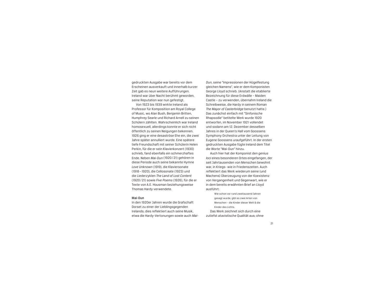gedruckten Ausgabe war bereits vor dem Erscheinen ausverkauft und innerhalb kurzer Zeit gab es neun weitere Aufführungen. Ireland war über Nacht berühmt geworden, seine Reputation war nun gefestigt.

Von 1923 bis 1939 wirkte Ireland als Professor für Komposition am Royal College of Music, wo Alan Bush, Benjamin Britten, Humphrey Searle und Richard Arnell zu seinen Schülern zählten. Wahrscheinlich war Ireland homosexuell, allerdings konnte er sich nicht öffentlich zu seinen Neigungen bekennen. 1926 ging er eine desaströse Ehe ein, die zwei Jahre später annulliert wurde. Eine spätere tiefe Freundschaft mit seiner Schülerin Helen Perkin, für die er sein Klavierkonzert (1930) schrieb, fand ebenfalls ein schmerzhaftes Ende. Neben *Mai-Dun* (1920/21) gehören in diese Periode auch seine bekannte Hymne *Love Unknown* (1919), die Klaviersonate (1918– 1920), die Cellosonate (1923) und die Liederzyklen *The Land of Lost Content* (1920/21) sowie *Five Poems* (1926), für die er Texte von A.E. Housman beziehungsweise Thomas Hardy verwendete.

#### Mai-Dun

In den 1920er Jahren wurde die Grafschaft Dorset zu einer der Lieblingsgegenden Irelands; dies reflektiert auch seine Musik, etwa die Hardy-Vertonungen sowie auch *Mai-* *Dun*, seine "Impressionen der Hügelfestung gleichen Namens", wie er dem Komponisten George Lloyd schrieb. (Anstatt die etablierte Bezeichnung für diese Erdwälle – Maiden Castle – zu verwenden, übernahm Ireland die Schreibweise, die Hardy in seinem Roman *The Mayor of Casterbridge* benutzt hatte.) Das zunächst einfach mit "Sinfonische Rhapsodie" betitelte Werk wurde 1920 entworfen, im November 1921 vollendet und sodann am 12. Dezember desselben Jahres in der Queen's Hall vom Goossens Symphony Orchestra unter der Leitung von Eugene Goossens uraufgeführt. In der ersten gedruckten Ausgabe fügte Ireland dem Titel die Worte "Mai-Dun" hinzu.

Auch hier hat der Komponist den *genius loci* eines besonderen Ortes eingefangen, der seit Jahrtausenden von Menschen bewohnt war, in Kriegs- wie in Friedenszeiten. Auch reflektiert das Werk wiederum seine (und Machens) Überzeugung von der Koexistenz von Vergangenheit und Gegenwart, wie er in dem bereits erwähnten Brief an Lloyd ausführt:

Wie schon vor rund zweitausend Jahren gesagt wurde, gibt es zwei Arten von Menschen – die Kinder dieser Welt & die Kinder des Lichts. Das Werk zeichnet sich durch eine zutiefst atavistische Qualität aus; ohne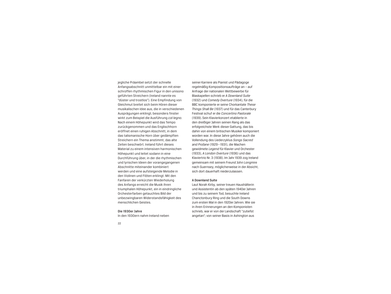jegliche Präambel setzt der schnelle Anfangsabschnitt unmittelbar ein mit einer schroffen rhythmischen Figur in den unisono geführten Streichern (Ireland nannte es "düster und trostlos"). Eine Empfindung von Gleichmut breitet sich beim Hören dieser musikalischen Idee aus, die in verschiedenen Ausprägungen erklingt; besonders finster wirkt zum Beispiel die Ausführung *col legno*. Nach einem Höhepunkt wird das Tempo zurückgenommen und das Englischhorn eröffnet einen ruhigen Abschnitt, in dem das talismanische Horn über gedämpften Streichern ein Thema anstimmt, das alte Zeiten beschwört. Ireland führt dieses Material zu einem intensiven harmonischen Höhepunkt und leitet sodann in eine Durchführung über, in der die rhythmischen und lyrischen Ideen der vorangegangenen Abschnitte miteinander kombiniert werden und eine aufsteigende Melodie in den Violinen und Flöten erklingt. Mit den Fanfaren der verkürzten Wiederholung des Anfangs erreicht die Musik ihren triumphalen Höhepunkt, ein in eindringliche Orchesterfarben getauchtes Bild der unbezwingbaren Widerstandsfähigkeit des menschlichen Geistes.

#### Die 1930er Jahre

In den 1930ern nahm Ireland neben

seiner Karriere als Pianist und Pädagoge regelmäßig Kompositionsaufträge an – auf Anfrage der nationalen Wettbewerbe für Blaskapellen schrieb er *A Downland Suite* (1932) und *Comedy Overture* (1934), für die BBC komponierte er seine Chorkantate *These Things Shall Be* (1937) und für das Canterbury Festival schuf er die *Concertino Pastorale* (1939). Sein Klavierkonzert etablierte in den dreißiger Jahren seinen Rang als das erfolgreichste Werk dieser Gattung, das bis dahin von einem britischen Musiker komponiert worden war. In diese Jahre gehören auch die Vollendung des Liederzyklus *Songs Sacred and Profane* (1929– 1931), die Machen gewidmete *Legend* für Klavier und Orchester (1933), *A London Overture* (1936) und das Klaviertrio Nr. 3 (1938). Im Jahr 1939 zog Ireland gemeinsam mit seinem Freund John Longmire nach Guernsey, möglicherweise in der Absicht, sich dort dauerhaft niederzulassen.

#### A Downland Suite

Laut Norah Kirby, seiner treuen Haushälterin und Assistentin ab den späten 1940er Jahren und bis zu seinem Tod, besuchte Ireland Chanctonbury Ring und die South Downs zum ersten Mal in den 1920er Jahren. Wie sie in ihren Erinnerungen an den Komponisten schrieb, war er von der Landschaft "zutiefst angetan"; von seiner Basis in Ashington aus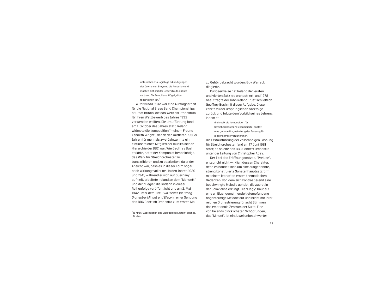unternahm er ausgiebige Erkundigungen der Downs von Steyning bis Amberley und machte sich mit der Gegend aufs Engste vertraut. Die Tumuli und Hügelgräber faszinierten ihn.<sup>5</sup>

*A Downland Suite* war eine Auftragsarbeit für die National Brass Band Championships of Great Britain, die das Werk als Probestück für ihren Wettbewerb des Jahres 1932 verwenden wollten. Die Uraufführung fand am 1. Oktober des Jahres statt. Ireland widmete die Komposition "meinem Freund Kenneth Wright", der ab den mittleren 1930er Jahren für mehr als zwei Jahrzehnte ein einflussreiches Mitglied der musikalischen Hierarchie der BBC war. Wie Geoffrey Bush erklärte, hatte der Komponist beabsichtigt, das Werk für Streichorchester zu transkribieren und zu bearbeiten, da er der Ansicht war, dass es in dieser Form sogar noch wirkungsvoller sei. In den Jahren 1939 und 1941, während er sich auf Guernsey aufhielt, arbeitete Ireland an dem "Menuett" und der "Elegie", die sodann in dieser Reihenfolge veröffentlicht und am 2. Mai 1942 unter dem Titel *Two Pieces for String Orchestra: Minuet and Elegy* in einer Sendung des BBC Scottish Orchestra zum ersten Mal

5N. Kirby, "Appreciation and Biographical Sketch", ebenda, S. 356.

zu Gehör gebracht wurden; Guy Warrack dirigierte.

Kurioserweise hat Ireland den ersten und vierten Satz nie orchestriert, und 1978 beauftragte der John Ireland Trust schließlich Geoffrey Bush mit dieser Aufgabe. Dieser kehrte zu der ursprünglichen Satzfolge zurück und folgte dem Vorbild seines Lehrers, indem er

die Musik als Komposition für Streichorchester neu konzipierte, anstatt eine genaue Umgestaltung der Fassung für Blasensemble vorzunehmen. Die Erstaufführung der vollständigen Fassung für Streichorchester fand am 17. Juni 1981 statt; es spielte das BBC Concert Orchestra unter der Leitung von Christopher Adey.

Der Titel des Eröffnungssatzes, "Prelude", entspricht nicht wirklich dessen Charakter, denn es handelt sich um eine ausgedehnte, streng konstruierte Sonatenhauptsatzform mit einem lebhaften ersten thematischen Gedanken, von dem sich kontrastierend eine beschwingte Melodie abhebt, die zuerst in der Solovioline erklingt. Die "Elegy" baut auf eine an Elgar gemahnende tiefempfundene bogenförmige Melodie auf und bildet mit ihrer reichen Orchestrierung für acht Stimmen das emotionale Zentrum der Suite. Eine von Irelands glücklichsten Schöpfungen, das "Minuet", ist ein Juwel unbeschwerter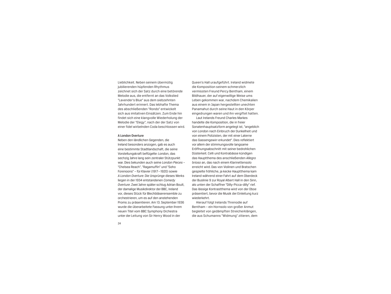Lieblichkeit. Neben seinem übermütig jubilierenden hüpfenden Rhythmus zeichnet sich der Satz durch eine betörende Melodie aus, die entfernt an das Volkslied "Lavender's Blue" aus dem siebzehnten Jahrhundert erinnert. Das lebhafte Thema des abschließenden "Rondo" entwickelt sich aus imitativen Einsätzen. Zum Ende hin findet sich eine klangvolle Wiederholung der Melodie der "Elegy", nach der der Satz von einer fidel wirbelnden Coda beschlossen wird.

#### A London Overture

Neben den ländlichen Gegenden, die Ireland besonders anzogen, gab es auch eine bestimmte Stadtlandschaft, die seine Vorstellungskraft beflügelte: London, das sechzig Jahre lang sein zentraler Stützpunkt war. Dies bekunden auch seine *London Pieces* – "Chelsea Reach", "Ragamuffin" und "Soho Forenoons" – für Klavier (1917–1920) sowie *A London Overture*. Die Ursprünge dieses Werks liegen in der 1934 entstandenen *Comedy Overture*. Zwei Jahre später schlug Adrian Boult, der damalige Musikdirektor der BBC, Ireland vor, dieses Stück für Blechbläserensemble zu orchestrieren, um es auf den anstehenden Proms zu präsentieren. Am 13. September 1936 wurde die überarbeitete Fassung unter ihrem neuen Titel vom BBC Symphony Orchestra unter der Leitung von Sir Henry Wood in der

Queen's Hall uraufgeführt. Ireland widmete die Komposition seinem schmerzlich vermissten Freund Percy Bentham, einem Bildhauer, der auf eigenwillige Weise ums Leben gekommen war, nachdem Chemikalien aus einem in Japan hergestellten unechten Panamahut durch seine Haut in den Körper eingedrungen waren und ihn vergiftet hatten.

Laut Irelands Freund Charles Markes handelte die Komposition, die in freier Sonatenhauptsatzform angelegt ist, "angeblich von London nach Einbruch der Dunkelheit und von einem Polizisten, der mit einer Laterne das Gassengewirr erkundet". Dies reflektiert vor allem der stimmungsvolle langsame Eröffnungsabschnitt mit seiner bedrohlichen Düsterkeit. Celli und Kontrabässe kündigen das Hauptthema des anschließenden *Allegro brioso* an, das nach einem Klarinettensolo erreicht wird. Das von Violinen und Bratschen gespielte fröhliche, ja kecke Hauptthema kam Ireland während einer Fahrt auf dem Oberdeck der Buslinie 9 zur Royal Albert Hall in den Sinn, als unten der Schaffner "Dilly-Picca-dilly" rief. Das lässige Kontrastthema wird von der Oboe präsentiert, bevor die Musik der Einleitung kurz wiederkehrt.

Hierauf folgt Irelands Threnodie auf Bentham – ein Hornsolo von großer Anmut begleitet von gedämpften Streicherklängen, die aus Schumanns "Widmung" zitieren, dem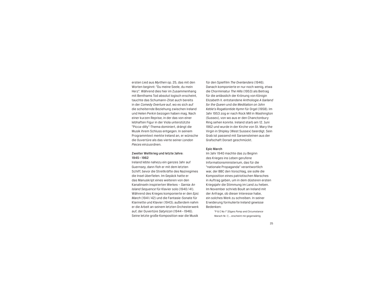ersten Lied aus *Myrthen* op. 25, das mit den Worten beginnt: "Du meine Seele, du mein Herz". Während dies hier im Zusammenhang mit Benthams Tod absolut logisch erscheint, tauchte das Schumann-Zitat auch bereits in der *Comedy Overture* auf, wo es sich auf die scheiternde Beziehung zwischen Ireland und Helen Perkin bezogen haben mag. Nach einer kurzen Reprise, in der das von einer lebhaften Figur in der Viola unterstützte "Picca-dilly"-Thema dominiert, drängt die Musik ihrem Schluss entgegen. In seinem Programmtext merkte Ireland an, er wünsche die Ouvertüre als das vierte seiner *London Pieces* einzuordnen.

#### Zweiter Weltkrieg und letzte Jahre: 1945– 1962

Ireland lebte nahezu ein ganzes Jahr auf Guernsey, dann floh er mit dem letzten Schiff, bevor die Streitkräfte des Naziregimes die Insel überfielen. Im Gepäck hatte er das Manuskript eines weiteren von den Kanalinseln inspirierten Werkes – *Sarnia: An Island Sequence* für Klavier solo (1940/41). Während des Krieges komponierte er den *Epic March* (1941/42) und die Fantasie-Sonate für Klarinette und Klavier (1943); außerdem nahm er die Arbeit an seinem letzten Orchesterwerk auf, der Ouvertüre *Satyricon* (1944– 1946). Seine letzte große Komposition war die Musik

für den Spielfilm *The Overlanders* (1946). Danach komponierte er nur noch wenig, etwa die Chorminiatur *The Hills* (1953) als Beitrag für die anlässlich der Krönung von Königin Elizabeth II. entstandene Anthologie *A Garland for the Queen* und die *Meditation on John Keble's Rogationtide Hymn* für Orgel (1958). Im Jahr 1953 zog er nach Rock Mill in Washington (Sussex), von wo aus er den Chanctonbury Ring sehen konnte. Ireland starb am 12. Juni 1962 und wurde in der Kirche von St. Mary the Virgin in Shipley (West Sussex) beerdigt. Sein Grab ist passend mit Sarsensteinen aus der Grafschaft Dorset geschmückt.

#### Epic March

Im Jahr 1940 machte das zu Beginn des Krieges ins Leben gerufene Informationsministerium, das für die "nationale Propaganda" verantwortlich war, der BBC den Vorschlag, sie solle die Komposition eines patriotischen Marsches in Auftrag geben, um in dem düsteren ersten Kriegsjahr die Stimmung im Land zu heben. Im November schrieb Boult an Ireland mit der Anfrage, ob dieser Interesse habe, ein solches Werk zu schreiben. In seiner Erwiderung formulierte Ireland gewisse Bedenken:

> "P & C No 1" [Elgars *Pomp and Circumstance* Marsch Nr. 1] ... erscheint mir gegenwärtig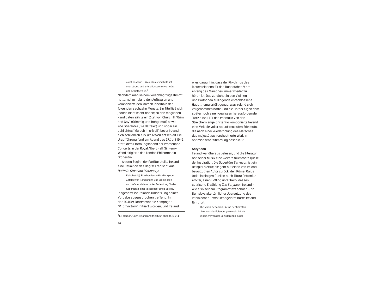nicht passend ... Was ich mir vorstelle, ist eher streng und entschlossen als vergnügt und selbstgefällig.<sup>6</sup>

Nachdem man seinem Vorschlag zugestimmt hatte, nahm Ireland den Auftrag an und komponierte den Marsch innerhalb der folgenden sechzehn Monate. Ein Titel ließ sich jedoch nicht leicht finden; zu den möglichen Kandidaten zählte ein Zitat von Churchill, "Grim and Gay" (Grimmig und frohgemut) sowie *The Liberators* (Die Befreier) und sogar ein schlichtes "Marsch in c-Moll", bevor Ireland sich schließlich für *Epic March* entschied. Die Uraufführung fand am Abend des 27. Juni 1942 statt, dem Eröffnungsabend der Promenade Concerts in der Royal Albert Hall; Sir Henry Wood dirigierte das London Philharmonic Orchestra.

An den Beginn der Partitur stellte Ireland eine Definition des Begriffs "episch" aus *Nuttall's Standard Dictionary*:

Episch (Adj.). Eine heroische Handlung oder Abfolge von Handlungen und Ereignissen von tiefer und dauerhafter Bedeutung für die Geschichte einer Nation oder eines Volkes. Insgesamt ist Irelands Umsetzung seiner Vorgabe ausgesprochen treffend. In den 1940er Jahren war die Kampagne "V for Victory" initiiert worden, und Ireland

<sup>6</sup> L. Foreman, "John Ireland and the BBC", ebenda, S. 214.

wies darauf hin, dass der Rhythmus des Morsezeichens für den Buchstaben V am Anfang des Marsches immer wieder zu hören ist. Das zunächst in den Violinen und Bratschen erklingende entschlossene Hauptthema erfüllt genau, was Ireland sich vorgenommen hatte, und die Hörner fügen dem später noch einen gewissen herausfordernden Trotz hinzu. Für das ebenfalls von den Streichern angeführte Trio komponierte Ireland eine Melodie voller robust-resoluten Edelmuts, die nach einer Wiederholung des Marsches das majestätisch orchestrierte Werk in optimistischer Stimmung beschließt.

#### **Satyricon**

Ireland war überaus belesen, und die Literatur bot seiner Musik eine weitere fruchtbare Quelle der Inspiration. Die Ouvertüre *Satyricon* ist ein Beispiel hierfür; sie geht auf einen von Ireland bevorzugten Autor zurück, den Römer Gaius (oder in einigen Quellen auch Titus) Petronius Arbiter, einen Höfling unter Nero, dessen satirische Erzählung *The Satyricon* Ireland – wie er in seinem Programmtext schrieb – "in Burnabys altertümlicher Übersetzung des lateinischen Texts" kenngelernt hatte. Ireland fährt fort:

> Die Musik beschreibt keine bestimmten Szenen oder Episoden; vielmehr ist sie inspiriert von der Schilderung einiger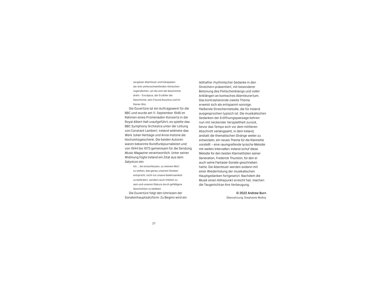sorgloser Abenteuer und Eskapaden der drei umherschweifenden römischen Jugendlichen, um die sich die Geschichte dreht – Encolpius, der Erzähler der Geschichte, sein Freund Ascyltus und ihr Diener Gito.

Die Ouvertüre ist ein Auftragswerk für die BBC und wurde am 11. September 1946 im Rahmen eines Promenaden-Konzerts in der Royal Albert Hall uraufgeführt; es spielte das BBC Symphony Orchestra unter der Leitung von Constant Lambert. Ireland widmete das Werk Julian Herbage und Anna Instone als Hochzeitsgeschenk. Die beiden Autoren waren bekannte Rundfunkjournalisten und von 1944 bis 1973 gemeinsam für die Sendung *Music Magazine* verantwortlich. Unter seiner Widmung fügte Ireland ein Zitat aus dem *Satyricon* ein:

Ich ... bin entschlossen, zu meinem Wort zu stehen, das genau unserem Streben entspricht, nicht nur unsere Gelehrsamkeit zu befördern, sondern auch fröhlich zu sein und unseren Diskurs durch gefälligere Geschichten zu beleben.

Die Ouvertüre folgt den Umrissen der Sonatenhauptsatzform: Zu Beginn wird ein

lebhafter rhythmischer Gedanke in den Streichern präsentiert, mit besonderer Betonung des Peitschenklangs und voller Anklängen an komisches Abenteurertum. Das kontrastierende zweite Thema erweist sich als entspannt-sonnige, fließende Streichermelodie, die für Ireland ausgesprochen typisch ist. Die musikalischen Gedanken der Eröffnungspassage kehren nun mit neckender Verspieltheit zurück, bevor das Tempo sich vor dem mittleren Abschnitt verlangsamt, in dem Ireland, anstatt die thematischen Stränge weiter zu entwickeln, ein neues Thema für die Klarinette vorstellt – eine raumgreifende lyrische Melodie mit weiten Intervallen. Ireland schuf diese Melodie für den besten Klarinettisten seiner Generation, Frederick Thurston, für den er auch seine Fantasie-Sonate geschrieben hatte. Die Abenteuer werden sodann mit einer Wiederholung der musikalischen Hauptgedanken fortgesetzt. Nachdem die Musik einen Höhepunkt erreicht hat, machen die Taugenichtse ihre Verbeugung.

> © 2022 Andrew Burn Übersetzung: Stephanie Wollny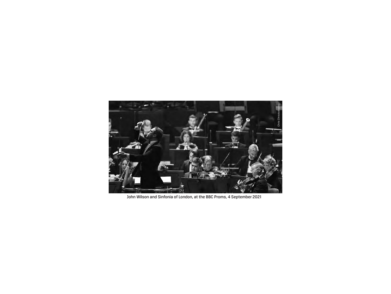

John Wilson and Sinfonia of London, at the BBC Proms, 4 September 2021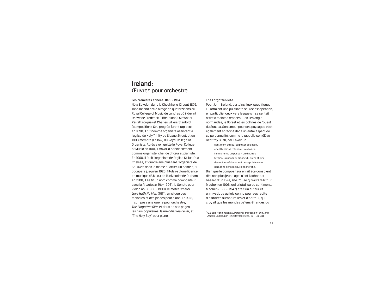# Ireland: Œuvres pour orchestre

Les premières années: 1879– 1914 Né à Bowdon dans le Cheshire le 13 août 1879, John Ireland entra à l'âge de quatorze ans au Royal College of Music de Londres où il devint l'élève de Frederick Cliffe (piano), Sir Walter Parratt (orgue) et Charles Villiers Stanford (composition). Ses progrès furent rapides: en 1896, il fut nommé organiste assistant à l'église de Holy Trinity de Sloane Street, et en 1898 membre (Fellow) du Royal College of Organists. Après avoir quitté le Royal College of Music en 1901, il travailla principalement comme organiste, chef de chœur et pianiste. En 1900, il était l'organiste de l'église St Jude's à Chelsea, et quatre ans plus tard l'organiste de St Luke's dans le même quartier, un poste qu'il occupera jusqu'en 1926. Titulaire d'une licence en musique (B.Mus.) de l'Université de Durham en 1908, il se fit un nom comme compositeur avec la *Phantasie Trio* (1906), la Sonate pour violon no 1 (1908– 1909), le motet *Greater Love Hath No Man* (1911), ainsi que des mélodies et des pièces pour piano. En 1913, il composa une œuvre pour orchestre, *The Forgotten Rite*, et deux de ses pages les plus populaires, la mélodie *Sea Fever*, et "The Holy Boy" pour piano.

#### The Forgotten Rite

Pour John Ireland, certains lieux spécifiques lui offraient une puissante source d'inspiration, en particulier ceux vers lesquels il se sentait attiré à maintes reprises – les îles anglonormandes, le Dorset et les collines de l'ouest du Sussex. Son amour pour ces paysages était également enraciné dans un autre aspect de sa personnalité, comme le rappelle son élève Geoffrey Bush, car il avait un

sentiment du lieu, ou plutôt des lieux, et cette chose très rare, un sens de l'immanence du passé – en d'autres termes, un passé si proche du présent qu'il devient immédiatement perceptible à une personne sensible qui le recherche.<sup>1</sup> Bien que le compositeur en ait été conscient dès son plus jeune âge, c'est l'achat par hasard d'un livre, *The House of Souls* d'Arthur Machen en 1906, qui cristallisa ce sentiment. Machen (1863– 1947) était un auteur et un mystique gallois connu pour ses récits d'histoires surnaturelles et d'horreur, qui croyait que les mondes païens étranges du

<sup>1</sup> G. Bush. "John Ireland: A Personal Impression". *The John Ireland Companion* (The Boydell Press, 2011), p. 331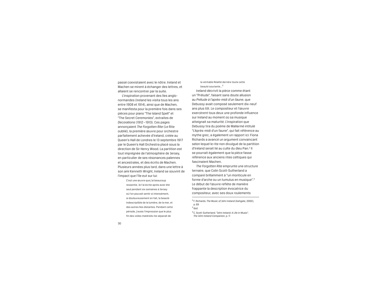passé coexistaient avec le nôtre. Ireland et Machen se mirent à échanger des lettres, et allaient se rencontrer par la suite.

L'inspiration provenant des îles anglonormandes (Ireland les visita tous les ans entre 1908 et 1914), ainsi que de Machen, se manifesta pour la première fois dans ses pièces pour piano "The Island Spell" et "The Secret Ceremonies", extraites de *Decorations* (1912– 1913). Ces pages annonçaient *The Forgotten Rite* (Le Rite oublié), la première œuvre pour orchestre parfaitement achevée d'Ireland, créée au Queen's Hall de Londres le 13 septembre 1917 par le Queen's Hall Orchestra placé sous la direction de Sir Henry Wood. La partition est tout imprégnée de l'atmosphère de Jersey, en particulier de ses résonances païennes et ancestrales, et des écrits de Machen. Plusieurs années plus tard, dans une lettre à son ami Kenneth Wright, Ireland se souvint de l'impact que l'île eut sur lui:

> C'est une œuvre que j'ai beaucoup ressentie. Je l'ai écrite après avoir été seul pendant six semaines à Jersey où l'on pouvait sentir si intensément, si douloureusement en fait, la beauté indescriptible de la lumière, de la mer, et des autres îles distantes. Pendant cette période, j'avais l'impression que le plus fin des voiles matériels me séparait de

la véritable Réalité derrière toute cette beauté souriante...<sup>2</sup>

Ireland décrivit la pièce comme étant un "Prélude", faisant sans doute allusion au *Prélude à l'après-midi d'un faune*, que Debussy avait composé seulement dix-neuf ans plus tôt. Le compositeur et l'œuvre exercèrent tous deux une profonde influence sur Ireland au moment où sa musique atteignait sa maturité. L'inspiration que Debussy tira du poème de Mallarmé intitulé "L'Après-midi d'un faune", qui fait référence au mythe grec, a également un rapport ici: Fiona Richards a avancé un argument convaincant selon lequel le rite non divulgué de la partition d'Ireland serait lié au culte du dieu Pan.<sup>3</sup> Il se pourrait également que la pièce fasse référence aux anciens rites celtiques qui fascinaient Machen.

*The Forgotten Rite* emprunte une structure ternaire, que Colin Scott-Sutherland a comparé brillamment à "un monticule en forme d'arche ou un tumulus en musique".4 Le début de l'œuvre reflète de manière frappante la description évocatrice du compositeur, avec ses doux roulements

<sup>4</sup> C. Scott-Sutherland. "John Ireland: A Life in Music". *The John Ireland Companion*, p. 11

<sup>2</sup> F. Richards. *The Music of John Ireland* (Ashgate, 2000), p. 69 <sup>3</sup> *Ibid.*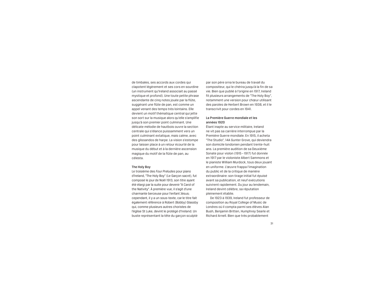de timbales, ses accords aux cordes qui clapotent légèrement et ses cors en sourdine (un instrument qu'Ireland associait au passé mystique et profond). Une toute petite phrase ascendante de cinq notes jouée par la flûte, suggérant une flûte de pan, est comme un appel venant des temps très lointains. Elle devient un motif thématique central qui jette son sort sur la musique alors qu'elle s'amplifie jusqu'à son premier point culminant. Une délicate mélodie de hautbois ouvre la section centrale qui s'élance puissamment vers un point culminant extatique, mais calme, avec des glissandos de harpe. La vision s'estompe pour laisser place à un retour écourté de la musique du début et à la dernière ascension magique du motif de la flûte de pan, au célesta.

#### The Holy Boy

Le troisième des *Four Preludes* pour piano d'Ireland, "The Holy Boy" (Le Garçon sacré), fut composé le jour de Noël 1913, son titre ayant été élargi par la suite pour devenir "A Carol of the Nativity". À première vue, il s'agit d'une charmante berceuse pour l'enfant Jésus; cependant, il y a un sous-texte, car le titre fait également référence à Robert (Bobby) Glassby qui, comme plusieurs autres choristes de l'église St Luke, devint le protégé d'Ireland. Un buste représentant la tête du garçon sculpté

par son père orna le bureau de travail du compositeur, qui le chérira jusqu'à la fin de sa vie. Bien que publié à l'origine en 1917, Ireland fit plusieurs arrangements de "The Holy Boy", notamment une version pour chœur utilisant des paroles de Herbert Brown en 1938, et il le transcrivit pour cordes en 1941.

#### La Première Guerre mondiale et les années 1920

Étant inapte au service militaire, Ireland ne vit pas sa carrière interrompue par la Première Guerre mondiale. En 1915, il acheta "The Studio", 14A Gunter Grove, qui deviendra son domicile londonien pendant trente-huit ans. La première audition de sa Deuxième Sonate pour violon (1915– 1917) fut donnée en 1917 par le violoniste Albert Sammons et le pianiste William Murdock, tous deux jouant en uniforme. L'œuvre frappa l'imagination du public et de la critique de manière extraordinaire: son tirage initial fut épuisé avant sa publication, et neuf exécutions suivirent rapidement. Du jour au lendemain, Ireland devint célèbre, sa réputation pleinement établie.

De 1923 à 1939, Ireland fut professeur de composition au Royal College of Music de Londres où il compta parmi ses élèves Alan Bush, Benjamin Britten, Humphrey Searle et Richard Arnell. Bien que très probablement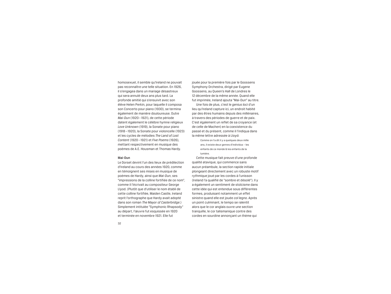homosexuel, il semble qu'Ireland ne pouvait pas reconnaître une telle situation. En 1926, il s'engagea dans un mariage désastreux qui sera annulé deux ans plus tard. La profonde amitié qui s'ensuivit avec son élève Helen Perkin, pour laquelle il composa son Concerto pour piano (1930), se termina également de manière douloureuse. Outre *Mai-Dun* (1920– 1921), de cette période datent également le célèbre hymne religieux *Love Unknown* (1919), la Sonate pour piano (1918– 1920), la Sonate pour violoncelle (1923) et les cycles de mélodies *The Land of Lost Content* (1920– 1921) et *Five Poems* (1926), mettant respectivement en musique des poèmes de A.E. Housman et Thomas Hardy.

#### Mai-Dun

Le Dorset devint l'un des lieux de prédilection d'Ireland au cours des années 1920, comme en témoignent ses mises en musique de poèmes de Hardy, ainsi que *Mai-Dun*, ses "impressions de la colline fortifiée de ce nom", comme il l'écrivait au compositeur George Llyod. (Plutôt que d'utiliser le nom établi de cette colline fortifiée, Maiden Castle, Ireland reprit l'orthographe que Hardy avait adopté dans son roman *The Mayor of Casterbridge*.) Simplement intitulée "Symphonic Rhapsody" au départ, l'œuvre fut esquissée en 1920 et terminée en novembre 1921. Elle fut

jouée pour la première fois par le Goossens Symphony Orchestra, dirigé par Eugene Goossens, au Queen's Hall de Londres le 12 décembre de la même année. Quand elle fut imprimée, Ireland ajouta "Mai-Dun" au titre. Une fois de plus, c'est le *genius loci* d'un

lieu qu'Ireland capture ici, un endroit habité par des êtres humains depuis des millénaires, à travers des périodes de guerre et de paix. C'est également un reflet de sa croyance (et de celle de Machen) en la coexistence du passé et du présent, comme il l'indiqua dans la même lettre adressée à Lloyd:

Comme on l'a dit il y a quelques deux mille ans, il existe deux genres d'individus – les enfants de ce monde & les enfants de la lumière.

Cette musique fait preuve d'une profonde qualité atavique, qui commence sans aucun préambule, la section rapide initiale plongeant directement avec un robuste motif rythmique joué par les cordes à l'unisson (Ireland l'a qualifié de "sombre et désolé"). Il y a également un sentiment de stoïcisme dans cette idée qui est entendue sous différentes formes, produisant notamment un effet sinistre quand elle est jouée *col legno*. Après un point culminant, le tempo se ralentit alors que le cor anglais ouvre une section tranquille, le cor talismanique contre des cordes en sourdine annonçant un thème qui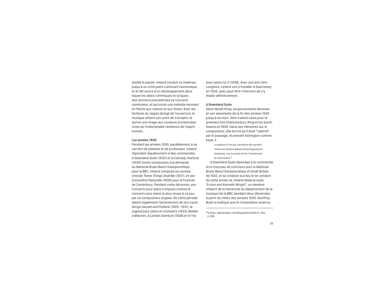distille le passé. Ireland conduit ce matériau jusqu'à un riche point culminant harmonique, et le fait suivre d'un développement dans lequel les idées rythmiques et lyriques des sections précédentes se trouvent combinées, et qui inclut une mélodie montant en flèche aux violons et aux flûtes. Avec les fanfares du rappel abrégé de l'ouverture, la musique atteint son point de triomphe, et donne une image aux couleurs orchestrales vives de l'indomptable résilience de l'esprit humain.

#### Les années 1930

Pendant les années 1930, parallèlement à sa carrière de pianiste et de professeur, Ireland répondait régulièrement à des commandes: *A Downland Suite* (1932) et la *Comedy Overture* (1934) furent composées à la demande du National Brass Band Championships; pour la BBC, Ireland composa sa cantate chorale *These Things Shall Be* (1937), et son *Concertino Pastorale* (1939) pour le Festival de Canterbury. Pendant cette décennie, son Concerto pour piano s'imposa comme le concerto pour piano le plus réussi à ce jour par un compositeur anglais. De cette période datent également l'achèvement de son cycle *Songs Sacred and Profane* (1929– 1931), la *Legend* pour piano et orchestre (1933) dédiée à Machen, *A London Overture* (1936) et le Trio

avec piano no 3 (1938). Avec son ami John Longmire, Ireland vint s'installer à Guernesey en 1939, avec peut-être l'intention de s'y établir définitivement.

#### A Downland Suite

Selon Norah Kirby, sa gouvernante dévouée et son assistante de la fin des années 1940 jusqu'à sa mort, John Ireland visita pour la première fois Chanctonbury Ring et les South Downs en 1920. Dans ses mémoires sur le compositeur, elle écrivit qu'il était "captivé" par le paysage, et prenant Ashington comme base, il

a exploré et fini par connaître de manière intime les Downs depuis Steyning jusqu'à Amberley. Les tumulus et les "monticules" le fascinaient.<sup>5</sup>

*A Downland Suite* répondait à la commande d'un morceau de concours pour le National Brass Band Championships of Great Britain de 1932, et sa création eut lieu le 1er octobre de cette année-là. Ireland dédia la suite "À mon ami Kenneth Wright", un membre influent de la hiérarchie du département de la musique de la BBC pendant deux décennies, à partir du milieu des années 1930. Geoffrey Bush a expliqué que le compositeur avait eu

5N. Kirby. "Appreciation and Biographical Sketch". *Ibid*., p. 356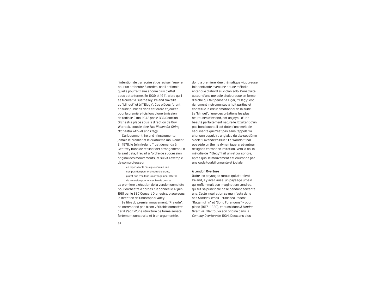l'intention de transcrire et de réviser l'œuvre pour un orchestre à cordes, car il estimait qu'elle pourrait faire encore plus d'effet sous cette forme. En 1939 et 1941, alors qu'il se trouvait à Guernesey, Ireland travailla au "Minuet" et à l'"Elegy". Ces pièces furent ensuite publiées dans cet ordre et jouées pour la première fois lors d'une émission de radio le 2 mai 1942 par le BBC Scottish Orchestra placé sous la direction de Guy Warrack, sous le titre *Two Pieces for String Orchestra: Minuet and Elegy*.

Curieusement, Ireland n'instrumenta jamais le premier et le quatrième mouvement. En 1978, le John Ireland Trust demanda à Geoffrey Bush de réaliser cet arrangement. En faisant cela, il revint à l'ordre de succession original des mouvements, et suivit l'exemple de son professeur

> en repensant la musique comme une composition pour orchestre à cordes, plutôt que d'en faire un arrangement littéral de la version pour ensemble de cuivres.

La première exécution de la version complète pour orchestre à cordes fut donnée le 17 juin 1981 par le BBC Concert Orchestra, placé sous la direction de Christopher Adey.

Le titre du premier mouvement, "Prelude", ne correspond pas à son véritable caractère, car il s'agit d'une structure de forme sonate fortement construite et bien argumentée,

dont la première idée thématique vigoureuse fait contraste avec une douce mélodie entendue d'abord au violon solo. Construite autour d'une mélodie chaleureuse en forme d'arche qui fait penser à Elgar, l'"Elegy" est richement instrumentée à huit parties et constitue le cœur émotionnel de la suite. Le "Minuet", l'une des créations les plus heureuses d'Ireland, est un joyau d'une beauté parfaitement naturelle. Exultant d'un pas bondissant, il est doté d'une mélodie séduisante qui n'est pas sans rappeler la chanson populaire anglaise du dix-septième siècle "Lavender's Blue". Le "Rondo" final possède un thème dynamique, créé autour de lignes entrant en imitation. Vers la fin, la mélodie de l'"Elegy" fait un retour sonore, après quoi le mouvement est couronné par une coda tourbillonnante et joviale.

#### A London Overture

Outre les paysages ruraux qui attiraient Ireland, il y avait aussi un paysage urbain qui enflammait son imagination: Londres, qui fut sa principale base pendant soixante ans. Cette inspiration se manifesta dans ses *London Pieces* – "Chelsea Reach", "Ragamuffin" et "Soho Forenoons" – pour piano (1917 – 1920), et aussi dans *A London Overture*. Elle trouva son origine dans la *Comedy Overture* de 1934. Deux ans plus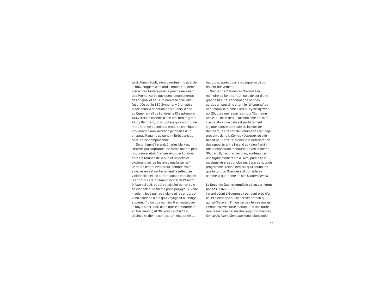tard, Adrian Boult, alors directeur musical de la BBC, suggéra à Ireland d'orchestrer cette pièce pour fanfare pour la prochaine saison des Proms. Après quelques remaniements de l'original et sous un nouveau titre, elle fut créée par le BBC Symphony Orchestra placé sous la direction de Sir Henry Wood au Queen's Hall de Londres le 13 septembre 1936. Ireland la dédia à son ami très regretté Percy Bentham, un sculpteur qui connut une mort étrange quand des produits chimiques provenant d'une imitation japonaise d'un chapeau Panama se sont infiltrés dans sa peau et l'ont empoisonné.

Selon l'ami d'Ireland, Charles Markes, l'œuvre, qui emprunte une forme sonate peu rigoureuse, était "censée évoquer Londres après la tombée de la nuit et un policier explorant les ruelles avec une lanterne". Le début lent et évocateur, sombre, voire sinistre, en est certainement le reflet. Les violoncelles et les contrebasses esquissent les contours du thème principal de l'*Allegro brioso* qui suit, et qui est atteint par un solo de clarinette. Le thème principal joyeux, voire insolent, joué par les violons et les altos, est venu à Ireland alors qu'il voyageait à "l'étage supérieur" d'un bus numéro 9 en route pour le Royal Albert Hall, alors que le conducteur en bas annonçait "Dilly-Picca-dilly". Le désinvolte thème contrastant est confié au

hautbois, après quoi la musique du début revient brièvement.

Suit le chant funèbre d'Ireland à la mémoire de Bentham, un solo de cor d'une grande beauté, accompagné par des cordes en sourdine citant le "Widmung" de Schumann, le premier lied du cycle *Myrthen*, op. 25, qui s'ouvre par les mots "Du meine Seele, du mein Herz" (Toi mon âme, toi mon cœur). Alors que cela est parfaitement logique dans le contexte de la mort de Bentham, la citation de Schumann était déjà présente dans la *Comedy Overture*, où elle faisait peut-être référence à la détérioration des rapports entre Ireland et Helen Perkin. Une réexposition raccourcie, avec le thème "Picca-dilly" au premier plan, soutenu par une figure exubérante à l'alto, précipite la musique vers sa conclusion. Dans sa note de programme, Ireland déclara qu'il souhaitait que la *London Overture* soit considérée comme la quatrième de ses *London Pieces*.

#### La Seconde Guerre mondiale et les dernières années: 1945– 1962

Ireland vécut à Guernesey pendant près d'un an, et s'échappa sur le dernier bateau qui quitta l'île avant l'invasion des forces nazies. Il emporta avec lui le manuscrit d'une autre œuvre inspirée par les îles anglo-normandes, *Sarnia: An Island Sequence* pour piano solo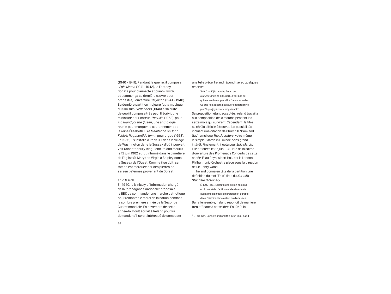(1940– 1941). Pendant la guerre, il composa l'*Epic March* (1941 – 1942), la Fantasy Sonata pour clarinette et piano (1943), et commença sa dernière œuvre pour orchestre, l'ouverture *Satyricon* (1944– 1946). Sa dernière partition majeure fut la musique du film *The Overlanders* (1946) à sa suite de quoi il composa très peu. Il écrivit une miniature pour chœur, *The Hills* (1953), pour *A Garland for the Queen*, une anthologie réunie pour marquer le couronnement de la reine Élisabeth II, et *Meditation on John Keble's Rogationtide Hymn* pour orgue (1958). En 1953, il s'installa à Rock Hill dans le village de Washington dans le Sussex d'où il pouvait voir Chanctonbury Ring. John Ireland mourut le 12 juin 1962 et fut inhumé dans le cimetière de l'église St Mary the Virgin à Shipley dans le Sussex de l'Ouest. Comme il se doit, sa tombe est marquée par des pierres de sarsen païennes provenant du Dorset.

#### Epic March

En 1940, le Ministry of Information chargé de la "propagande nationale" proposa à la BBC de commander une marche patriotique pour remonter le moral de la nation pendant la sombre première année de la Seconde Guerre mondiale. En novembre de cette année-là, Boult écrivit à Ireland pour lui demander s'il serait intéressé de composer <sup>6</sup> L. Foreman. "John Ireland and the BBC". *Ibid.*, p. 214

une telle pièce. Ireland répondit avec quelques réserves:

"P & C no 1" [la marche *Pomp and Circumstance* no 1 d'Elgar]... n'est pas ce qui me semble approprié à l'heure actuelle... Ce que j'ai à l'esprit est sévère et déterminé plutôt que joyeux et complaisant.6

Sa proposition étant acceptée, Ireland travailla à la composition de la marche pendant les seize mois qui suivirent. Cependant, le titre se révéla difficile à trouver, les possibilités incluant une citation de Churchill, "Grim and Gay", ainsi que *The Liberators*, voire même le simple "March in C minor" sans grand intérêt. Finalement, il opta pour *Epic March*. Elle fut créée le 27 juin 1942 lors de la soirée d'ouverture des Promenade Concerts de cette année-là au Royal Albert Hall, par le London Philharmonic Orchestra placé sous la direction de Sir Henry Wood.

Ireland donna en tête de la partition une définition du mot "Epic" tirée du *Nuttall's Standard Dictionary*:

ÉPIQUE (*adj.*). Relatif à une action héroïque ou à une série d'actions et d'événements ayant une signification profonde et durable dans l'histoire d'une nation ou d'une race. Dans l'ensemble, Ireland répondit de manière très efficace à cette idée. En 1940, la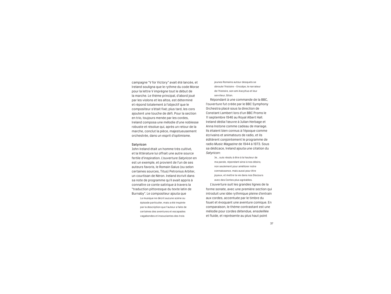campagne "V for Victory" avait été lancée, et Ireland souligna que le rythme du code Morse pour la lettre V imprègne tout le début de la marche. Le thème principal, d'abord joué par les violons et les altos, est déterminé et répond totalement à l'objectif que le compositeur s'était fixé; plus tard, les cors ajoutent une touche de défi. Pour la section en trio, toujours menée par les cordes, Ireland composa une mélodie d'une noblesse robuste et résolue qui, après un retour de la marche, conclut la pièce, majestueusement orchestrée, dans un esprit d'optimisme.

#### Satyricon

John Ireland était un homme très cultivé, et la littérature lui offrait une autre source fertile d'inspiration. L'ouverture *Satyricon* en est un exemple, et provient de l'un de ses auteurs favoris, le Romain Gaius (ou selon certaines sources, Titus) Petronius Arbiter, un courtisan de Néron. Ireland écrivit dans sa note de programme qu'il avait appris à connaître ce conte satirique à travers la "traduction pittoresque du texte latin de Burnaby". Le compositeur ajouta que

> La musique ne décrit aucune scène ou épisode particulier, mais a été inspirée par la description que l'auteur a faite de certaines des aventures et escapades vagabondes et insouciantes des trois

jeunes Romains autour desquels se déroule l'histoire – Encolpe, le narrateur de l'histoire, son ami Ascyltus et leur serviteur, Giton.

Répondant à une commande de la BBC, l'ouverture fut créée par le BBC Symphony Orchestra placé sous la direction de Constant Lambert lors d'un BBC Proms le 11 septembre 1946 au Royal Albert Hall. Ireland dédia l'œuvre à Julian Herbage et Anna Instone comme cadeau de mariage. Ils étaient bien connus à l'époque comme écrivains et animateurs de radio, et ils éditèrent conjointement le programme de radio *Music Magazine* de 1944 à 1973. Sous sa dédicace, Ireland ajouta une citation du *Satyricon*:

> Je... suis résolu à être à la hauteur de ma parole, répondant ainsi à nos désirs; non seulement pour améliorer notre connaissance, mais aussi pour être joyeux, et mettre la vie dans nos Discours avec des Contes plus agréables.

L'ouverture suit les grandes lignes de la forme sonate, avec une première section qui introduit une idée rythmique pleine d'entrain aux cordes, accentuée par le timbre du fouet et évoquant une aventure comique. En comparaison, le thème contrastant est une mélodie pour cordes détendue, ensoleillée et fluide, et représente au plus haut point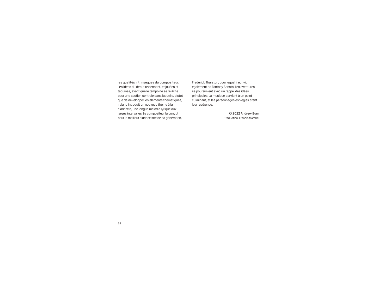les qualités intrinsèques du compositeur. Les idées du début reviennent, enjouées et taquines, avant que le tempo ne se relâche pour une section centrale dans laquelle, plutôt que de développer les éléments thématiques, Ireland introduit un nouveau thème à la clarinette, une longue mélodie lyrique aux larges intervalles. Le compositeur la conçut pour le meilleur clarinettiste de sa génération,

Frederick Thurston, pour lequel il écrivit également sa Fantasy Sonata. Les aventures se poursuivent avec un rappel des idées principales. La musique parvient à un point culminant, et les personnages espiègles tirent leur révérence.

> © 2022 Andrew Burn Traduction: Francis Marchal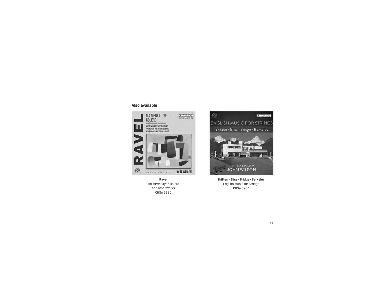#### Also available



Ravel Ma Mère l'Oye • Boléro and other works CHSA 5280



Britten • Bliss • Bridge • Berkeley English Music for Strings CHSA 5264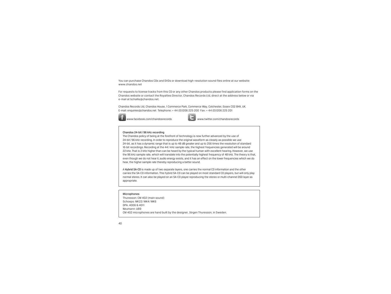You can purchase Chandos CDs and DVDs or download high-resolution sound files online at our website: www.chandos.net

For requests to license tracks from this CD or any other Chandos products please find application forms on the Chandos website or contact the Royalties Director, Chandos Records Ltd, direct at the address below or via e-mail at bchallis@chandos.net.

Chandos Records Ltd, Chandos House, 1 Commerce Park, Commerce Way, Colchester, Essex CO2 8HX, UK. E-mail: enquiries@chandos.net Telephone: + 44 (0)1206 225 200 Fax: + 44 (0)1206 225 201



www.facebook.com/chandosrecords www.twitter.com/chandosrecords

#### Chandos 24-bit/96 kHz recording

The Chandos policy of being at the forefront of technology is now further advanced by the use of 24-bit/96 kHz recording. In order to reproduce the original waveform as closely as possible we use 24-bit, as it has a dynamic range that is up to 48 dB greater and up to 256 times the resolution of standard 16-bit recordings. Recording at the 44.1 kHz sample rate, the highest frequencies generated will be around 22 kHz. That is 2 kHz higher than can be heard by the typical human with excellent hearing. However, we use the 96 kHz sample rate, which will translate into the potentially highest frequency of 48 kHz. The theory is that, even though we do not hear it, audio energy exists, and it has an effect on the lower frequencies which we do hear, the higher sample rate thereby reproducing a better sound.

A Hybrid SA-CD is made up of two separate layers, one carries the normal CD information and the other carries the SA-CD information. This hybrid SA-CD can be played on most standard CD players, but will only play normal stereo. It can also be played on an SA-CD player reproducing the stereo or multi-channel DSD layer as appropriate.

#### Microphones

Thuresson: CM 402 (main sound) Schoeps: MK22/MK4/MK6 DPA: 4006 & 4011 Neumann: U89 CM 402 microphones are hand built by the designer, Jörgen Thuresson, in Sweden.

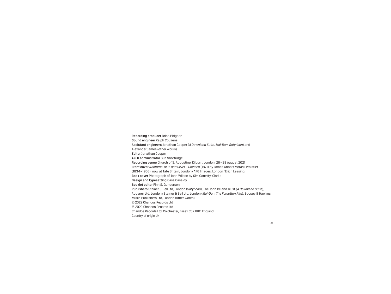Recording producer Brian Pidgeon Sound engineer Ralph Couzens Assistant engineers Jonathan Cooper (*A Downland Suite*, *Mai-Dun*, *Satyricon*) and Alexander James (other works) Editor Jonathan Cooper A & R administrator Sue Shortridge Recording venue Church of S. Augustine, Kilburn, London; 26–28 August 2021 Front cover *Nocturne: Blue and Silver – Chelsea* (1871) by James Abbott McNeill Whistler (1834– 1903), now at Tate Britain, London/AKG Images, London/ Erich Lessing Back cover Photograph of John Wilson by Sim Canetty-Clarke Design and typesetting Cass Cassidy Booklet editor Finn S. Gundersen Publishers Stainer & Bell Ltd, London (*Satyricon*), The John Ireland Trust (*A Downland Suite*), Augener Ltd, London/Stainer & Bell Ltd, London (*Mai-Dun*, *The Forgotten Rite*), Boosey & Hawkes Music Publishers Ltd, London (other works) p 2022 Chandos Records Ltd © 2022 Chandos Records Ltd Chandos Records Ltd, Colchester, Essex CO2 8HX, England Country of origin UK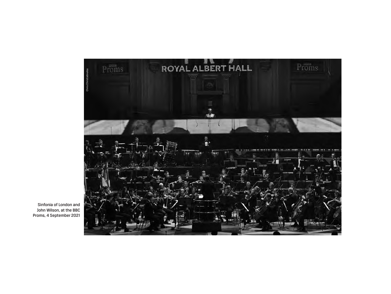

Sinfonia of London and John Wilson, at the BBC Proms, 4 September 2021